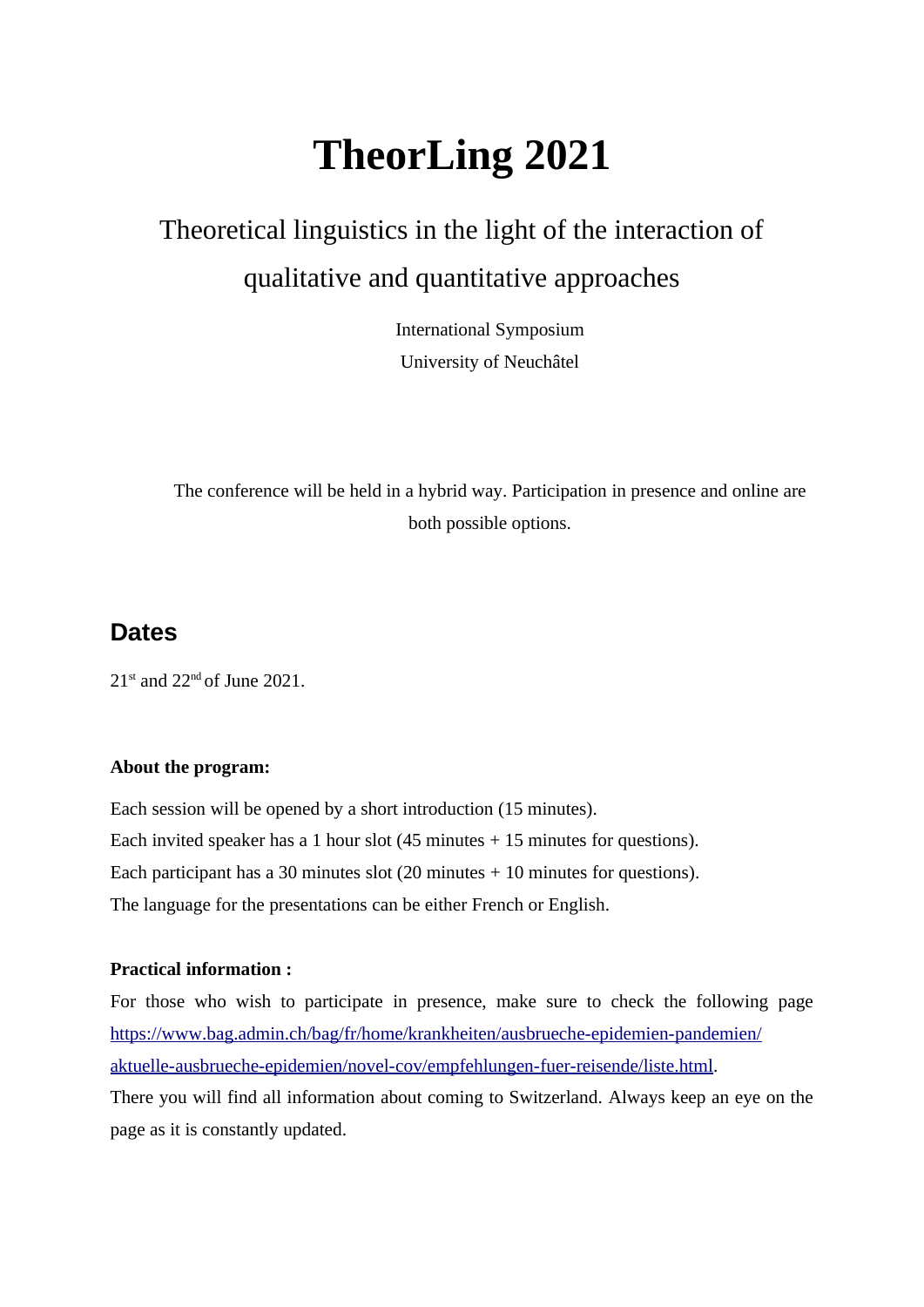# **TheorLing 2021**

## Theoretical linguistics in the light of the interaction of qualitative and quantitative approaches

International Symposium University of Neuchâtel

The conference will be held in a hybrid way. Participation in presence and online are both possible options.

### **Dates**

 $21<sup>st</sup>$  and  $22<sup>nd</sup>$  of June 2021.

#### **About the program:**

Each session will be opened by a short introduction (15 minutes). Each invited speaker has a 1 hour slot  $(45 \text{ minutes} + 15 \text{ minutes}$  for questions). Each participant has a 30 minutes slot (20 minutes + 10 minutes for questions). The language for the presentations can be either French or English.

#### **Practical information :**

For those who wish to participate in presence, make sure to check the following page [https://www.bag.admin.ch/bag/fr/home/krankheiten/ausbrueche-epidemien-pandemien/](https://www.bag.admin.ch/bag/fr/home/krankheiten/ausbrueche-epidemien-pandemien/aktuelle-ausbrueche-epidemien/novel-cov/empfehlungen-fuer-reisende/liste.html) [aktuelle-ausbrueche-epidemien/novel-cov/empfehlungen-fuer-reisende/liste.html.](https://www.bag.admin.ch/bag/fr/home/krankheiten/ausbrueche-epidemien-pandemien/aktuelle-ausbrueche-epidemien/novel-cov/empfehlungen-fuer-reisende/liste.html) There you will find all information about coming to Switzerland. Always keep an eye on the page as it is constantly updated.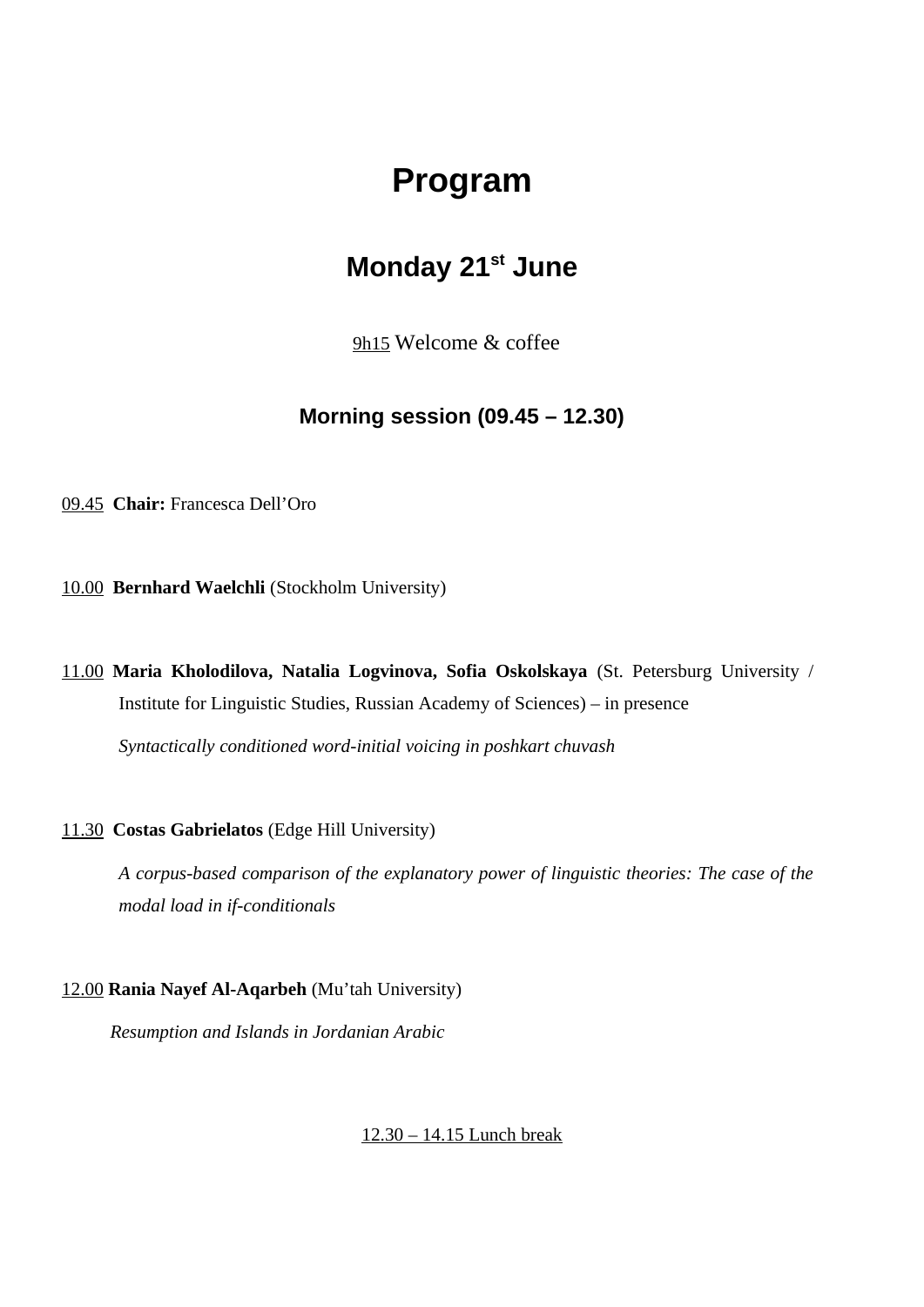## **Program**

## **Monday 21st June**

9h15 Welcome & coffee

### **Morning session (09.45 – 12.30)**

09.45 **Chair:** Francesca Dell'Oro

10.00 **Bernhard Waelchli** (Stockholm University)

11.00 **Maria Kholodilova, Natalia Logvinova, Sofia Oskolskaya** (St. Petersburg University / Institute for Linguistic Studies, Russian Academy of Sciences) – in presence

*Syntactically conditioned word-initial voicing in poshkart chuvash*

#### 11.30 **Costas Gabrielatos** (Edge Hill University)

*A corpus-based comparison of the explanatory power of linguistic theories: The case of the modal load in if-conditionals*

#### 12.00 **Rania Nayef Al-Aqarbeh** (Mu'tah University)

*Resumption and Islands in Jordanian Arabic*

#### 12.30 – 14.15 Lunch break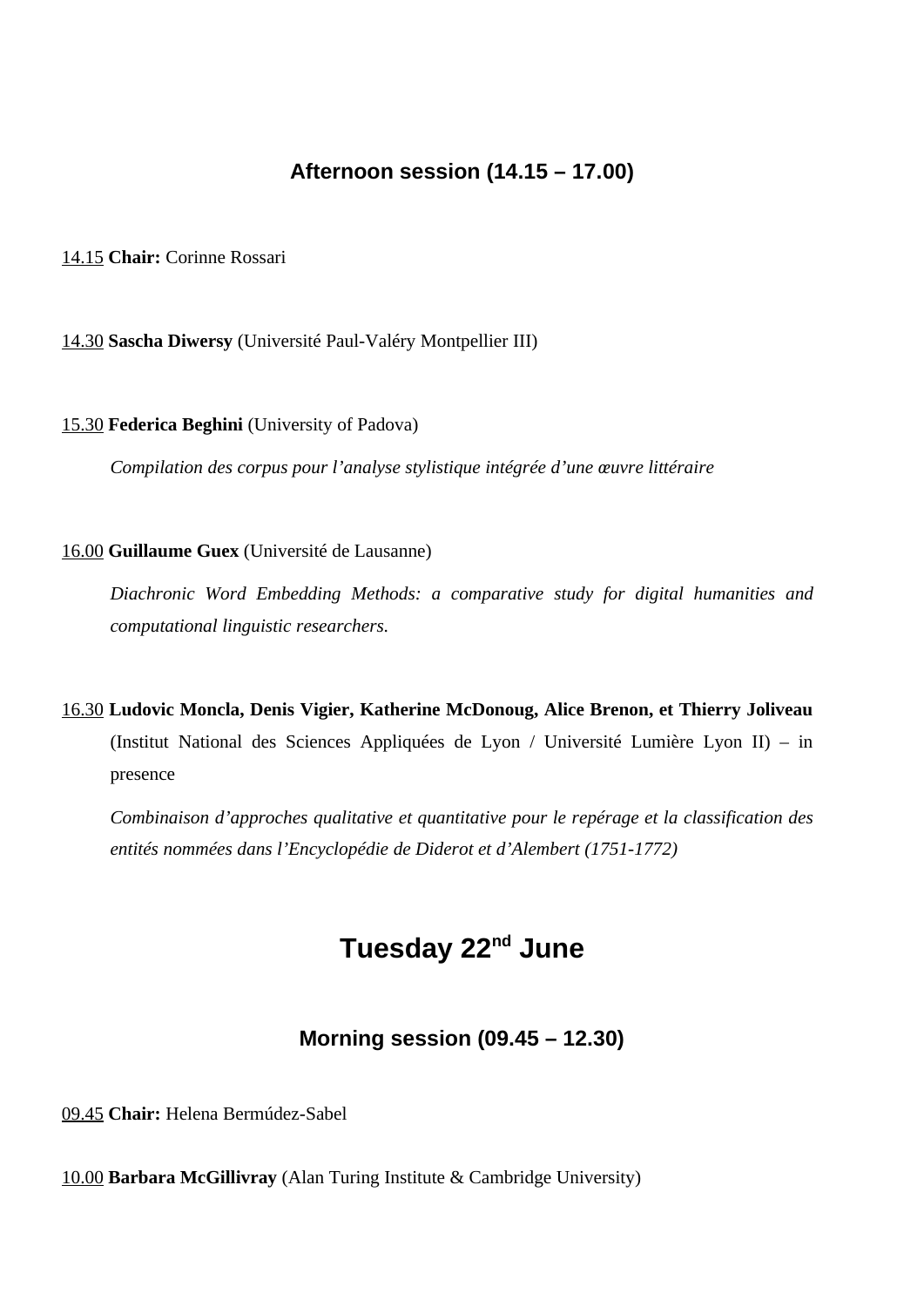### **Afternoon session (14.15 – 17.00)**

#### 14.15 **Chair:** Corinne Rossari

14.30 **Sascha Diwersy** (Université Paul-Valéry Montpellier III)

#### 15.30 **Federica Beghini** (University of Padova)

*Compilation des corpus pour l'analyse stylistique intégrée d'une œuvre littéraire*

#### 16.00 **Guillaume Guex** (Université de Lausanne)

*Diachronic Word Embedding Methods: a comparative study for digital humanities and computational linguistic researchers.*

16.30 **Ludovic Moncla, Denis Vigier, Katherine McDonoug, Alice Brenon, et Thierry Joliveau** (Institut National des Sciences Appliquées de Lyon / Université Lumière Lyon II) – in presence

*Combinaison d'approches qualitative et quantitative pour le repérage et la classification des entités nommées dans l'Encyclopédie de Diderot et d'Alembert (1751-1772)*

## **Tuesday 22nd June**

#### **Morning session (09.45 – 12.30)**

09.45 **Chair:** Helena Bermúdez-Sabel

10.00 **Barbara McGillivray** (Alan Turing Institute & Cambridge University)